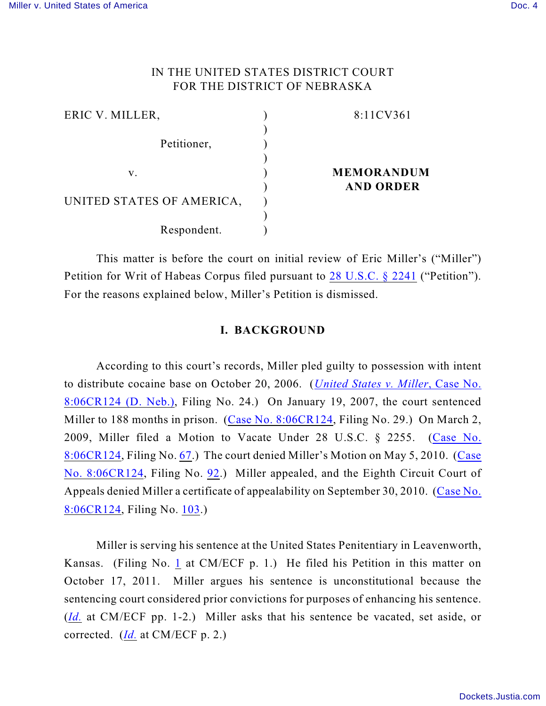## IN THE UNITED STATES DISTRICT COURT FOR THE DISTRICT OF NEBRASKA

| ERIC V. MILLER,           | 8:11CV361         |
|---------------------------|-------------------|
|                           |                   |
| Petitioner,               |                   |
|                           |                   |
| v.                        | <b>MEMORANDUM</b> |
|                           | <b>AND ORDER</b>  |
| UNITED STATES OF AMERICA, |                   |
|                           |                   |
| Respondent.               |                   |

This matter is before the court on initial review of Eric Miller's ("Miller") Petition for Writ of Habeas Corpus filed pursuant to [28 U.S.C. § 2241](http://www.westlaw.com/find/default.wl?rs=CLWP3.0&vr=2.0&cite=28+USCA+s+2241) ("Petition"). For the reasons explained below, Miller's Petition is dismissed.

## **I. BACKGROUND**

According to this court's records, Miller pled guilty to possession with intent to distribute cocaine base on October 20, 2006. (*[United States v. Miller](https://ecf.ned.circ8.dcn/cgi-bin/DktRpt.pl?459953734780944-L_1_0-1)*, Case No. [8:06CR124 \(D. Neb.\)](https://ecf.ned.circ8.dcn/cgi-bin/DktRpt.pl?459953734780944-L_1_0-1), Filing No. 24.) On January 19, 2007, the court sentenced Miller to 188 months in prison. (Case [No. 8:06CR124](https://ecf.ned.circ8.dcn/cgi-bin/DktRpt.pl?459953734780944-L_1_0-1), Filing No. 29.) On March 2, 2009, Miller filed a Motion to Vacate Under 28 U.S.C. § 2255. ([Case No.](https://ecf.ned.circ8.dcn/cgi-bin/DktRpt.pl?459953734780944-L_1_0-1) [8:06CR124](https://ecf.ned.circ8.dcn/cgi-bin/DktRpt.pl?459953734780944-L_1_0-1), Filing No. [67](https://ecf.ned.uscourts.gov/doc1/11311681239).) The court denied Miller's Motion on May 5, 2010. ([Case](https://ecf.ned.circ8.dcn/cgi-bin/DktRpt.pl?459953734780944-L_1_0-1) [No. 8:06CR124](https://ecf.ned.circ8.dcn/cgi-bin/DktRpt.pl?459953734780944-L_1_0-1), Filing No. [92](https://ecf.ned.uscourts.gov/doc1/11312010816).) Miller appealed, and the Eighth Circuit Court of Appeals denied Miller a certificate of appealability on September 30, 2010. ([Case No.](https://ecf.ned.circ8.dcn/cgi-bin/DktRpt.pl?459953734780944-L_1_0-1) [8:06CR124](https://ecf.ned.circ8.dcn/cgi-bin/DktRpt.pl?459953734780944-L_1_0-1), Filing No. [103](https://ecf.ned.uscourts.gov/doc1/11302113446).)

Miller is serving his sentence at the United States Penitentiary in Leavenworth, Kansas. (Filing No. [1](http://ecf.ned.uscourts.gov/doc1/11302378070) at CM/ECF p. 1.) He filed his Petition in this matter on October 17, 2011. Miller argues his sentence is unconstitutional because the sentencing court considered prior convictions for purposes of enhancing his sentence. (*[Id.](https://ecf.ned.uscourts.gov/doc1/11312378070)* at CM/ECF pp. 1-2.) Miller asks that his sentence be vacated, set aside, or corrected. (*[Id.](https://ecf.ned.uscourts.gov/doc1/11312378070)* at CM/ECF p. 2.)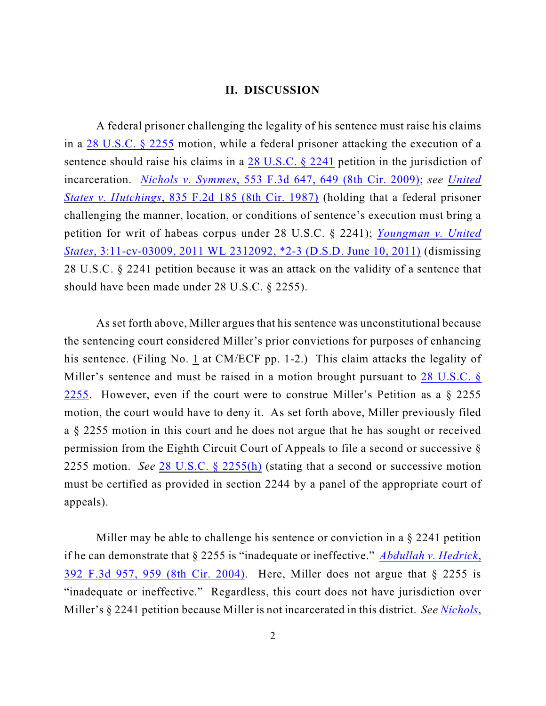## **II. DISCUSSION**

A federal prisoner challenging the legality of his sentence must raise his claims in a [28 U.S.C. § 2255](http://www.westlaw.com/find/default.wl?rs=CLWP3.0&vr=2.0&cite=28+USCA+s+2255) motion, while a federal prisoner attacking the execution of a sentence should raise his claims in a [28 U.S.C. § 2241](http://www.westlaw.com/find/default.wl?rs=CLWP3.0&vr=2.0&cite=28+USCA+s+2241) petition in the jurisdiction of incarceration. *Nichols v. Symmes*[, 553 F.3d 647, 649 \(8th Cir. 2009\)](http://www.westlaw.com/find/default.wl?rs=CLWP3.0&vr=2.0&cite=553+F.3d+647); *see [United](http://www.westlaw.com/find/default.wl?rs=CLWP3.0&vr=2.0&cite=835+F.2d+185) States v. Hutchings*[, 835 F.2d 185 \(8th Cir. 1987\)](http://www.westlaw.com/find/default.wl?rs=CLWP3.0&vr=2.0&cite=835+F.2d+185) (holding that a federal prisoner challenging the manner, location, or conditions of sentence's execution must bring a petition for writ of habeas corpus under 28 U.S.C. § 2241); *[Youngman v. United](http://www.westlaw.com/find/default.wl?rs=CLWP3.0&vr=2.0&cite=2011+WL+2312092) States*[, 3:11-cv-03009, 2011 WL 2312092, \\*2-3 \(D.S.D. June 10, 2011\)](http://www.westlaw.com/find/default.wl?rs=CLWP3.0&vr=2.0&cite=2011+WL+2312092) (dismissing 28 U.S.C. § 2241 petition because it was an attack on the validity of a sentence that should have been made under 28 U.S.C. § 2255).

As set forth above, Miller argues that his sentence was unconstitutional because the sentencing court considered Miller's prior convictions for purposes of enhancing his sentence. (Filing No. [1](http://ecf.ned.uscourts.gov/doc1/11302378070) at CM/ECF pp. 1-2.) This claim attacks the legality of Miller's sentence and must be raised in a motion brought pursuant to [28 U.S.C. §](http://www.westlaw.com/find/default.wl?rs=CLWP3.0&vr=2.0&cite=28+USCA+s+2255) [2255](http://www.westlaw.com/find/default.wl?rs=CLWP3.0&vr=2.0&cite=28+USCA+s+2255). However, even if the court were to construe Miller's Petition as a § 2255 motion, the court would have to deny it. As set forth above, Miller previously filed a § 2255 motion in this court and he does not argue that he has sought or received permission from the Eighth Circuit Court of Appeals to file a second or successive § 2255 motion. *See* [28 U.S.C. § 2255\(h\)](http://web2.westlaw.com/find/default.wl?rs=CLWP3.0&vr=2.0&cite=28+USCA+s+2255%28h%29&ssl=n) (stating that a second or successive motion must be certified as provided in section 2244 by a panel of the appropriate court of appeals).

Miller may be able to challenge his sentence or conviction in a § 2241 petition if he can demonstrate that § 2255 is "inadequate or ineffective." *[Abdullah v. Hedrick](http://www.westlaw.com/find/default.wl?rs=CLWP3.0&vr=2.0&cite=392+F.3d+957)*, 392 [F.3d 957, 959 \(8th Cir. 2004\)](http://www.westlaw.com/find/default.wl?rs=CLWP3.0&vr=2.0&cite=392+F.3d+957). Here, Miller does not argue that § 2255 is "inadequate or ineffective." Regardless, this court does not have jurisdiction over Miller's § 2241 petition because Miller is not incarcerated in this district. *See [Nichols](http://www.westlaw.com/find/default.wl?rs=CLWP3.0&vr=2.0&cite=553+F.3d+647)*,